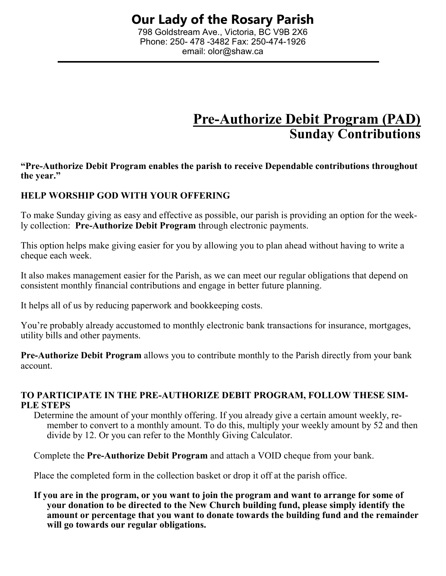798 Goldstream Ave., Victoria, BC V9B 2X6 Phone: 250- 478 -3482 Fax: 250-474-1926 email: olor@shaw.ca

# **Pre-Authorize Debit Program (PAD) Sunday Contributions**

**"Pre-Authorize Debit Program enables the parish to receive Dependable contributions throughout the year."**

# **HELP WORSHIP GOD WITH YOUR OFFERING**

To make Sunday giving as easy and effective as possible, our parish is providing an option for the weekly collection: **Pre-Authorize Debit Program** through electronic payments.

This option helps make giving easier for you by allowing you to plan ahead without having to write a cheque each week.

It also makes management easier for the Parish, as we can meet our regular obligations that depend on consistent monthly financial contributions and engage in better future planning.

It helps all of us by reducing paperwork and bookkeeping costs.

You're probably already accustomed to monthly electronic bank transactions for insurance, mortgages, utility bills and other payments.

**Pre-Authorize Debit Program** allows you to contribute monthly to the Parish directly from your bank account.

### **TO PARTICIPATE IN THE PRE-AUTHORIZE DEBIT PROGRAM, FOLLOW THESE SIM-PLE STEPS**

Determine the amount of your monthly offering. If you already give a certain amount weekly, remember to convert to a monthly amount. To do this, multiply your weekly amount by 52 and then divide by 12. Or you can refer to the Monthly Giving Calculator.

Complete the **Pre-Authorize Debit Program** and attach a VOID cheque from your bank.

Place the completed form in the collection basket or drop it off at the parish office.

**If you are in the program, or you want to join the program and want to arrange for some of your donation to be directed to the New Church building fund, please simply identify the amount or percentage that you want to donate towards the building fund and the remainder will go towards our regular obligations.**